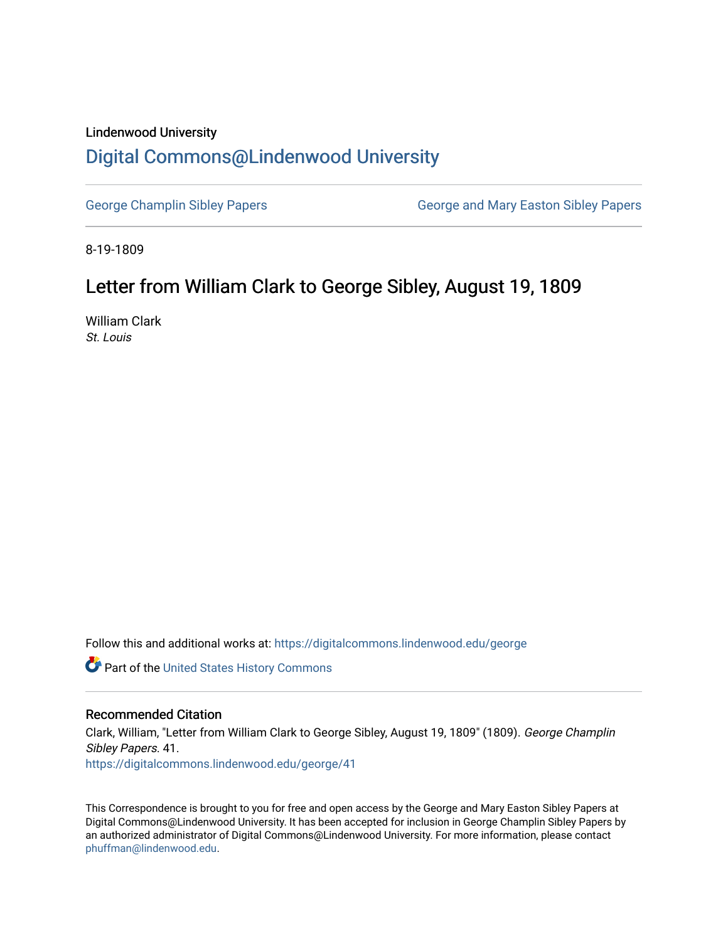## Lindenwood University

## [Digital Commons@Lindenwood University](https://digitalcommons.lindenwood.edu/)

[George Champlin Sibley Papers](https://digitalcommons.lindenwood.edu/george) George and Mary Easton Sibley Papers

8-19-1809

## Letter from William Clark to George Sibley, August 19, 1809

William Clark St. Louis

Follow this and additional works at: [https://digitalcommons.lindenwood.edu/george](https://digitalcommons.lindenwood.edu/george?utm_source=digitalcommons.lindenwood.edu%2Fgeorge%2F41&utm_medium=PDF&utm_campaign=PDFCoverPages)

Part of the [United States History Commons](http://network.bepress.com/hgg/discipline/495?utm_source=digitalcommons.lindenwood.edu%2Fgeorge%2F41&utm_medium=PDF&utm_campaign=PDFCoverPages) 

## Recommended Citation

Clark, William, "Letter from William Clark to George Sibley, August 19, 1809" (1809). George Champlin Sibley Papers. 41. [https://digitalcommons.lindenwood.edu/george/41](https://digitalcommons.lindenwood.edu/george/41?utm_source=digitalcommons.lindenwood.edu%2Fgeorge%2F41&utm_medium=PDF&utm_campaign=PDFCoverPages) 

This Correspondence is brought to you for free and open access by the George and Mary Easton Sibley Papers at Digital Commons@Lindenwood University. It has been accepted for inclusion in George Champlin Sibley Papers by an authorized administrator of Digital Commons@Lindenwood University. For more information, please contact [phuffman@lindenwood.edu](mailto:phuffman@lindenwood.edu).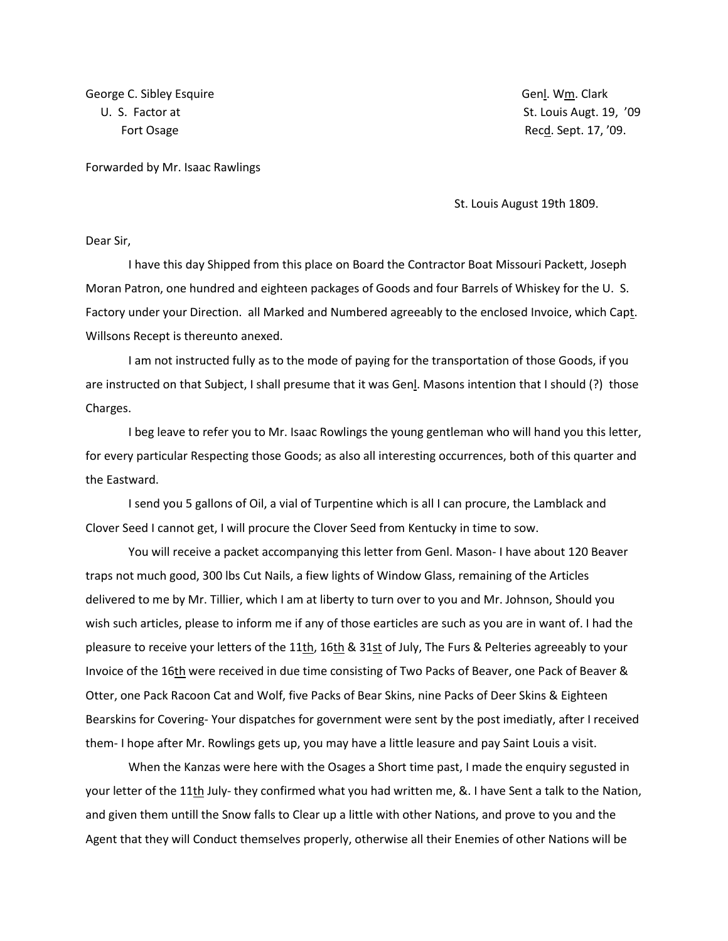George C. Sibley Esquire Genler Communication of the Genler Communication of Genl. Wm. Clark

U. S. Factor at St. Louis Augt. 19, '09 Fort Osage **Record Controller Controller Controller** Record Record Record Record Record Record Record Record Record Record Record Record Record Record Record Record Record Record Record Record Record Record Record Record R

Forwarded by Mr. Isaac Rawlings

St. Louis August 19th 1809.

Dear Sir,

I have this day Shipped from this place on Board the Contractor Boat Missouri Packett, Joseph Moran Patron, one hundred and eighteen packages of Goods and four Barrels of Whiskey for the U. S. Factory under your Direction. all Marked and Numbered agreeably to the enclosed Invoice, which Capt. Willsons Recept is thereunto anexed.

I am not instructed fully as to the mode of paying for the transportation of those Goods, if you are instructed on that Subject, I shall presume that it was Genl. Masons intention that I should (?) those Charges.

I beg leave to refer you to Mr. Isaac Rowlings the young gentleman who will hand you this letter, for every particular Respecting those Goods; as also all interesting occurrences, both of this quarter and the Eastward.

I send you 5 gallons of Oil, a vial of Turpentine which is all I can procure, the Lamblack and Clover Seed I cannot get, I will procure the Clover Seed from Kentucky in time to sow.

You will receive a packet accompanying this letter from Genl. Mason- I have about 120 Beaver traps not much good, 300 lbs Cut Nails, a fiew lights of Window Glass, remaining of the Articles delivered to me by Mr. Tillier, which I am at liberty to turn over to you and Mr. Johnson, Should you wish such articles, please to inform me if any of those earticles are such as you are in want of. I had the pleasure to receive your letters of the 11th, 16th & 31st of July, The Furs & Pelteries agreeably to your Invoice of the 16th were received in due time consisting of Two Packs of Beaver, one Pack of Beaver & Otter, one Pack Racoon Cat and Wolf, five Packs of Bear Skins, nine Packs of Deer Skins & Eighteen Bearskins for Covering- Your dispatches for government were sent by the post imediatly, after I received them- I hope after Mr. Rowlings gets up, you may have a little leasure and pay Saint Louis a visit.

When the Kanzas were here with the Osages a Short time past, I made the enquiry segusted in your letter of the 11th July- they confirmed what you had written me, &. I have Sent a talk to the Nation, and given them untill the Snow falls to Clear up a little with other Nations, and prove to you and the Agent that they will Conduct themselves properly, otherwise all their Enemies of other Nations will be